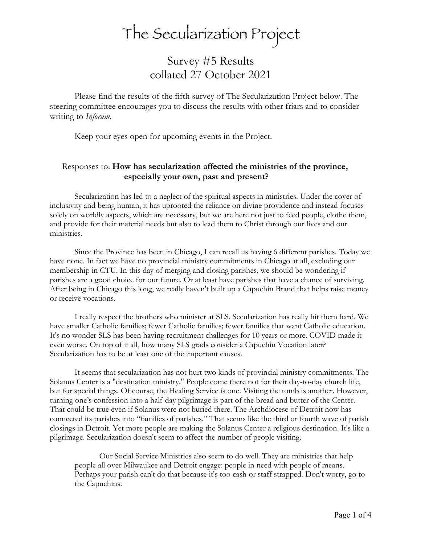## The Secularization Project

## Survey #5 Results collated 27 October 2021

Please find the results of the fifth survey of The Secularization Project below. The steering committee encourages you to discuss the results with other friars and to consider writing to *Inforum*.

Keep your eyes open for upcoming events in the Project.

## Responses to: **How has secularization affected the ministries of the province, especially your own, past and present?**

Secularization has led to a neglect of the spiritual aspects in ministries. Under the cover of inclusivity and being human, it has uprooted the reliance on divine providence and instead focuses solely on worldly aspects, which are necessary, but we are here not just to feed people, clothe them, and provide for their material needs but also to lead them to Christ through our lives and our ministries.

Since the Province has been in Chicago, I can recall us having 6 different parishes. Today we have none. In fact we have no provincial ministry commitments in Chicago at all, excluding our membership in CTU. In this day of merging and closing parishes, we should be wondering if parishes are a good choice for our future. Or at least have parishes that have a chance of surviving. After being in Chicago this long, we really haven't built up a Capuchin Brand that helps raise money or receive vocations.

I really respect the brothers who minister at SLS. Secularization has really hit them hard. We have smaller Catholic families; fewer Catholic families; fewer families that want Catholic education. It's no wonder SLS has been having recruitment challenges for 10 years or more. COVID made it even worse. On top of it all, how many SLS grads consider a Capuchin Vocation later? Secularization has to be at least one of the important causes.

It seems that secularization has not hurt two kinds of provincial ministry commitments. The Solanus Center is a "destination ministry." People come there not for their day-to-day church life, but for special things. Of course, the Healing Service is one. Visiting the tomb is another. However, turning one's confession into a half-day pilgrimage is part of the bread and butter of the Center. That could be true even if Solanus were not buried there. The Archdiocese of Detroit now has connected its parishes into "families of parishes." That seems like the third or fourth wave of parish closings in Detroit. Yet more people are making the Solanus Center a religious destination. It's like a pilgrimage. Secularization doesn't seem to affect the number of people visiting.

Our Social Service Ministries also seem to do well. They are ministries that help people all over Milwaukee and Detroit engage: people in need with people of means. Perhaps your parish can't do that because it's too cash or staff strapped. Don't worry, go to the Capuchins.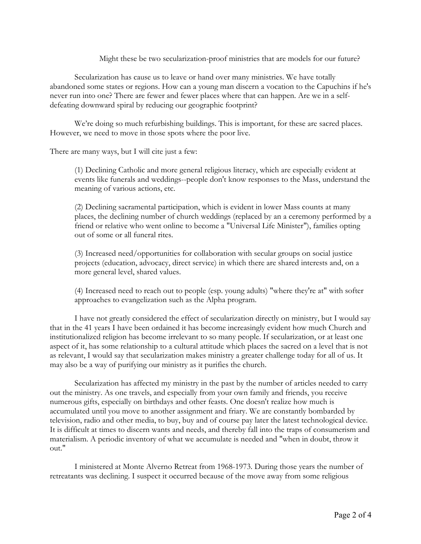## Might these be two secularization-proof ministries that are models for our future?

Secularization has cause us to leave or hand over many ministries. We have totally abandoned some states or regions. How can a young man discern a vocation to the Capuchins if he's never run into one? There are fewer and fewer places where that can happen. Are we in a selfdefeating downward spiral by reducing our geographic footprint?

We're doing so much refurbishing buildings. This is important, for these are sacred places. However, we need to move in those spots where the poor live.

There are many ways, but I will cite just a few:

(1) Declining Catholic and more general religious literacy, which are especially evident at events like funerals and weddings--people don't know responses to the Mass, understand the meaning of various actions, etc.

(2) Declining sacramental participation, which is evident in lower Mass counts at many places, the declining number of church weddings (replaced by an a ceremony performed by a friend or relative who went online to become a "Universal Life Minister"), families opting out of some or all funeral rites.

(3) Increased need/opportunities for collaboration with secular groups on social justice projects (education, advocacy, direct service) in which there are shared interests and, on a more general level, shared values.

(4) Increased need to reach out to people (esp. young adults) "where they're at" with softer approaches to evangelization such as the Alpha program.

I have not greatly considered the effect of secularization directly on ministry, but I would say that in the 41 years I have been ordained it has become increasingly evident how much Church and institutionalized religion has become irrelevant to so many people. If secularization, or at least one aspect of it, has some relationship to a cultural attitude which places the sacred on a level that is not as relevant, I would say that secularization makes ministry a greater challenge today for all of us. It may also be a way of purifying our ministry as it purifies the church.

Secularization has affected my ministry in the past by the number of articles needed to carry out the ministry. As one travels, and especially from your own family and friends, you receive numerous gifts, especially on birthdays and other feasts. One doesn't realize how much is accumulated until you move to another assignment and friary. We are constantly bombarded by television, radio and other media, to buy, buy and of course pay later the latest technological device. It is difficult at times to discern wants and needs, and thereby fall into the traps of consumerism and materialism. A periodic inventory of what we accumulate is needed and "when in doubt, throw it out."

I ministered at Monte Alverno Retreat from 1968-1973. During those years the number of retreatants was declining. I suspect it occurred because of the move away from some religious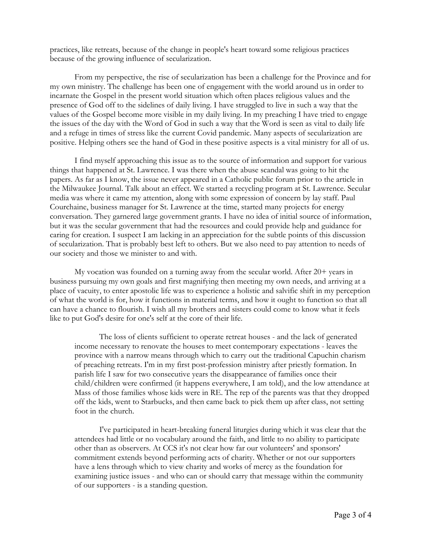practices, like retreats, because of the change in people's heart toward some religious practices because of the growing influence of secularization.

From my perspective, the rise of secularization has been a challenge for the Province and for my own ministry. The challenge has been one of engagement with the world around us in order to incarnate the Gospel in the present world situation which often places religious values and the presence of God off to the sidelines of daily living. I have struggled to live in such a way that the values of the Gospel become more visible in my daily living. In my preaching I have tried to engage the issues of the day with the Word of God in such a way that the Word is seen as vital to daily life and a refuge in times of stress like the current Covid pandemic. Many aspects of secularization are positive. Helping others see the hand of God in these positive aspects is a vital ministry for all of us.

I find myself approaching this issue as to the source of information and support for various things that happened at St. Lawrence. I was there when the abuse scandal was going to hit the papers. As far as I know, the issue never appeared in a Catholic public forum prior to the article in the Milwaukee Journal. Talk about an effect. We started a recycling program at St. Lawrence. Secular media was where it came my attention, along with some expression of concern by lay staff. Paul Courchaine, business manager for St. Lawrence at the time, started many projects for energy conversation. They garnered large government grants. I have no idea of initial source of information, but it was the secular government that had the resources and could provide help and guidance for caring for creation. I suspect I am lacking in an appreciation for the subtle points of this discussion of secularization. That is probably best left to others. But we also need to pay attention to needs of our society and those we minister to and with.

My vocation was founded on a turning away from the secular world. After 20+ years in business pursuing my own goals and first magnifying then meeting my own needs, and arriving at a place of vacuity, to enter apostolic life was to experience a holistic and salvific shift in my perception of what the world is for, how it functions in material terms, and how it ought to function so that all can have a chance to flourish. I wish all my brothers and sisters could come to know what it feels like to put God's desire for one's self at the core of their life.

The loss of clients sufficient to operate retreat houses - and the lack of generated income necessary to renovate the houses to meet contemporary expectations - leaves the province with a narrow means through which to carry out the traditional Capuchin charism of preaching retreats. I'm in my first post-profession ministry after priestly formation. In parish life I saw for two consecutive years the disappearance of families once their child/children were confirmed (it happens everywhere, I am told), and the low attendance at Mass of those families whose kids were in RE. The rep of the parents was that they dropped off the kids, went to Starbucks, and then came back to pick them up after class, not setting foot in the church.

I've participated in heart-breaking funeral liturgies during which it was clear that the attendees had little or no vocabulary around the faith, and little to no ability to participate other than as observers. At CCS it's not clear how far our volunteers' and sponsors' commitment extends beyond performing acts of charity. Whether or not our supporters have a lens through which to view charity and works of mercy as the foundation for examining justice issues - and who can or should carry that message within the community of our supporters - is a standing question.